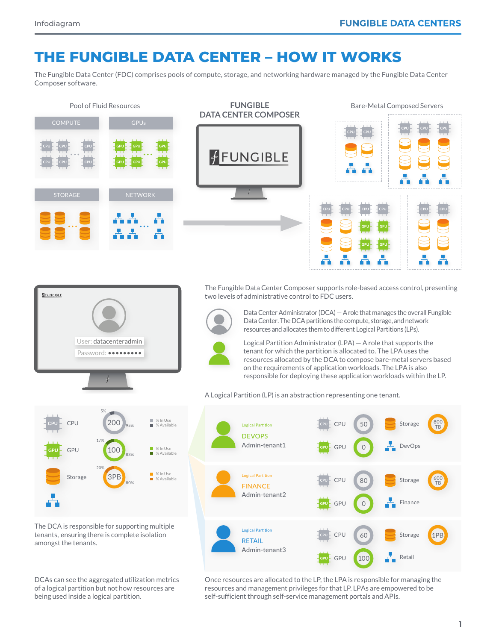## **THE FUNGIBLE DATA CENTER – HOW IT WORKS**

The Fungible Data Center (FDC) comprises pools of compute, storage, and networking hardware managed by the Fungible Data Center Composer software.



being used inside a logical partition.

self-sufficient through self-service management portals and APIs.